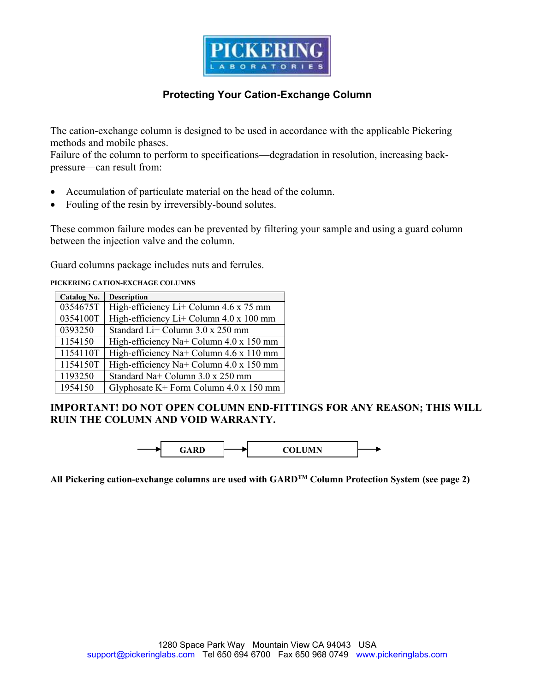

# **Protecting Your Cation-Exchange Column**

The cation-exchange column is designed to be used in accordance with the applicable Pickering methods and mobile phases.

Failure of the column to perform to specifications—degradation in resolution, increasing backpressure—can result from:

- Accumulation of particulate material on the head of the column.
- Fouling of the resin by irreversibly-bound solutes.

These common failure modes can be prevented by filtering your sample and using a guard column between the injection valve and the column.

Guard columns package includes nuts and ferrules.

**PICKERING CATION-EXCHAGE COLUMNS** 

| Catalog No. | <b>Description</b>                             |
|-------------|------------------------------------------------|
| 0354675T    | High-efficiency Li+ Column 4.6 x 75 mm         |
| 0354100T    | High-efficiency Li+ Column 4.0 x 100 mm        |
| 0393250     | Standard Li+ Column 3.0 x 250 mm               |
| 1154150     | High-efficiency Na+ Column 4.0 x 150 mm        |
| 1154110T    | High-efficiency Na+ Column $4.6 \times 110$ mm |
| 1154150T    | High-efficiency Na+ Column 4.0 x 150 mm        |
| 1193250     | Standard Na+ Column 3.0 x 250 mm               |
| 1954150     | Glyphosate K+ Form Column $4.0 \times 150$ mm  |

### **IMPORTANT! DO NOT OPEN COLUMN END-FITTINGS FOR ANY REASON; THIS WILL RUIN THE COLUMN AND VOID WARRANTY.**



**All Pickering cation-exchange columns are used with GARDTM Column Protection System (see page 2)**